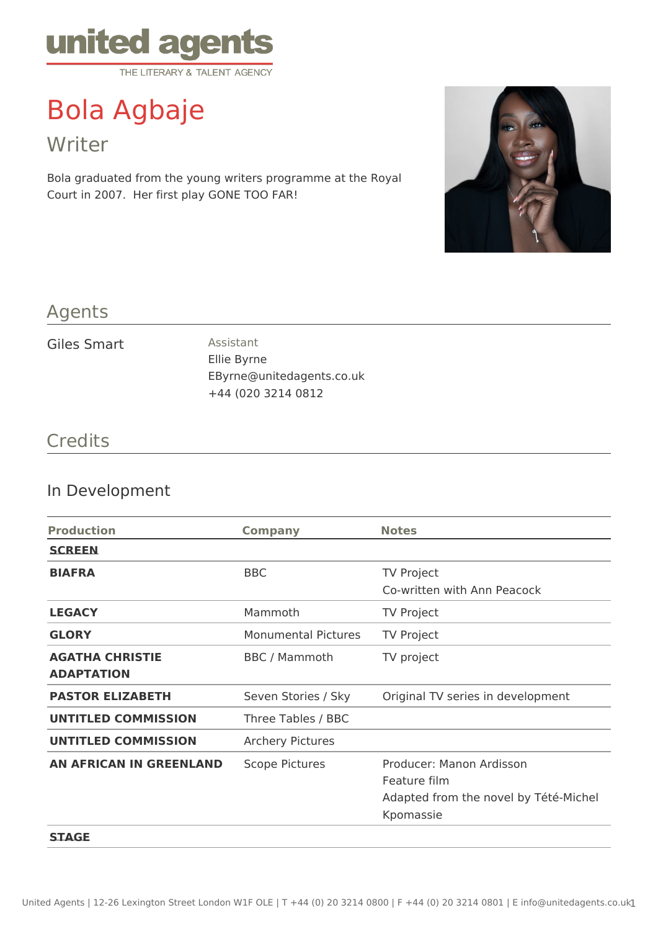

# Bola Agbaje

Writer

Bola graduated from the young writers programme at the Royal Court in 2007. Her first play GONE TOO FAR!



#### Agents

#### Giles Smart Assistant

Ellie Byrne EByrne@unitedagents.co.uk +44 (020 3214 0812

#### **Credits**

#### In Development

| <b>Production</b>              | <b>Company</b>             | <b>Notes</b>                          |
|--------------------------------|----------------------------|---------------------------------------|
| <b>SCREEN</b>                  |                            |                                       |
| <b>BIAFRA</b>                  | <b>BBC</b>                 | <b>TV Project</b>                     |
|                                |                            | Co-written with Ann Peacock           |
| <b>LEGACY</b>                  | Mammoth                    | <b>TV Project</b>                     |
| <b>GLORY</b>                   | <b>Monumental Pictures</b> | <b>TV Project</b>                     |
| <b>AGATHA CHRISTIE</b>         | <b>BBC</b> / Mammoth       | TV project                            |
| <b>ADAPTATION</b>              |                            |                                       |
| <b>PASTOR ELIZABETH</b>        | Seven Stories / Sky        | Original TV series in development     |
| <b>UNTITLED COMMISSION</b>     | Three Tables / BBC         |                                       |
| <b>UNTITLED COMMISSION</b>     | <b>Archery Pictures</b>    |                                       |
| <b>AN AFRICAN IN GREENLAND</b> | <b>Scope Pictures</b>      | Producer: Manon Ardisson              |
|                                |                            | Feature film                          |
|                                |                            | Adapted from the novel by Tété-Michel |
|                                |                            | Kpomassie                             |
| <b>STAGE</b>                   |                            |                                       |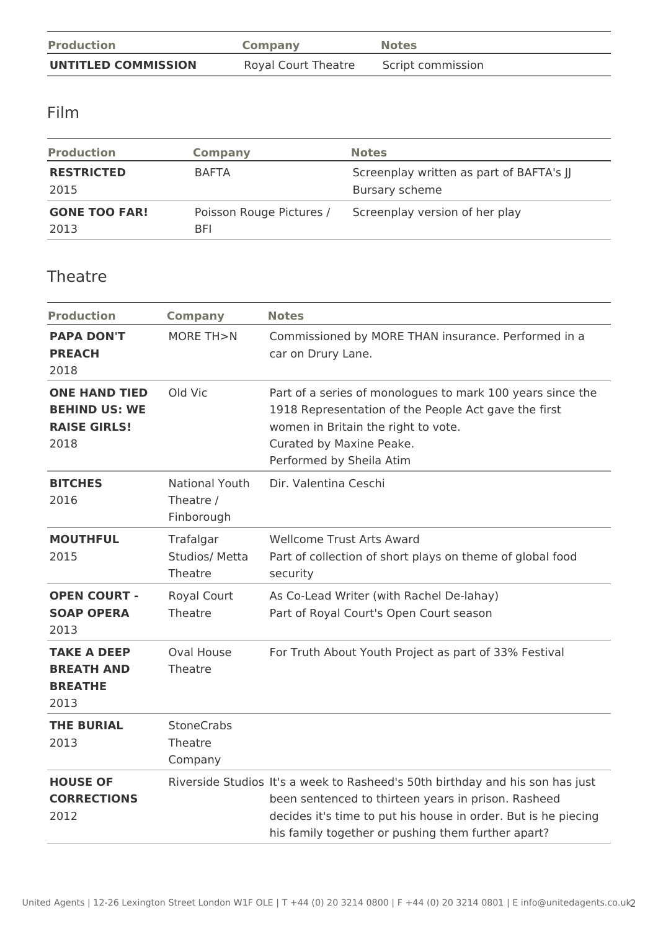| <b>Production</b>          | Company             | <b>Notes</b>      |
|----------------------------|---------------------|-------------------|
| <b>UNTITLED COMMISSION</b> | Royal Court Theatre | Script commission |

#### Film

| <b>Production</b>            | Company                         | <b>Notes</b>                                               |
|------------------------------|---------------------------------|------------------------------------------------------------|
| <b>RESTRICTED</b><br>2015    | <b>BAFTA</b>                    | Screenplay written as part of BAFTA's JJ<br>Bursary scheme |
| <b>GONE TOO FAR!</b><br>2013 | Poisson Rouge Pictures /<br>BFI | Screenplay version of her play                             |

#### Theatre

| <b>Production</b>                                                           | <b>Company</b>                                   | <b>Notes</b>                                                                                                                                                                                                                                                 |  |
|-----------------------------------------------------------------------------|--------------------------------------------------|--------------------------------------------------------------------------------------------------------------------------------------------------------------------------------------------------------------------------------------------------------------|--|
| <b>PAPA DON'T</b><br><b>PREACH</b><br>2018                                  | MORE TH>N                                        | Commissioned by MORE THAN insurance. Performed in a<br>car on Drury Lane.                                                                                                                                                                                    |  |
| <b>ONE HAND TIED</b><br><b>BEHIND US: WE</b><br><b>RAISE GIRLS!</b><br>2018 | Old Vic                                          | Part of a series of monologues to mark 100 years since the<br>1918 Representation of the People Act gave the first<br>women in Britain the right to vote.<br>Curated by Maxine Peake.<br>Performed by Sheila Atim                                            |  |
| <b>BITCHES</b><br>2016                                                      | <b>National Youth</b><br>Theatre /<br>Finborough | Dir. Valentina Ceschi                                                                                                                                                                                                                                        |  |
| <b>MOUTHFUL</b><br>2015                                                     | Trafalgar<br>Studios/ Metta<br>Theatre           | <b>Wellcome Trust Arts Award</b><br>Part of collection of short plays on theme of global food<br>security                                                                                                                                                    |  |
| <b>OPEN COURT -</b><br><b>SOAP OPERA</b><br>2013                            | <b>Royal Court</b><br>Theatre                    | As Co-Lead Writer (with Rachel De-lahay)<br>Part of Royal Court's Open Court season                                                                                                                                                                          |  |
| <b>TAKE A DEEP</b><br><b>BREATH AND</b><br><b>BREATHE</b><br>2013           | <b>Oval House</b><br>Theatre                     | For Truth About Youth Project as part of 33% Festival                                                                                                                                                                                                        |  |
| <b>THE BURIAL</b><br>2013                                                   | <b>StoneCrabs</b><br>Theatre<br>Company          |                                                                                                                                                                                                                                                              |  |
| <b>HOUSE OF</b><br><b>CORRECTIONS</b><br>2012                               |                                                  | Riverside Studios It's a week to Rasheed's 50th birthday and his son has just<br>been sentenced to thirteen years in prison. Rasheed<br>decides it's time to put his house in order. But is he piecing<br>his family together or pushing them further apart? |  |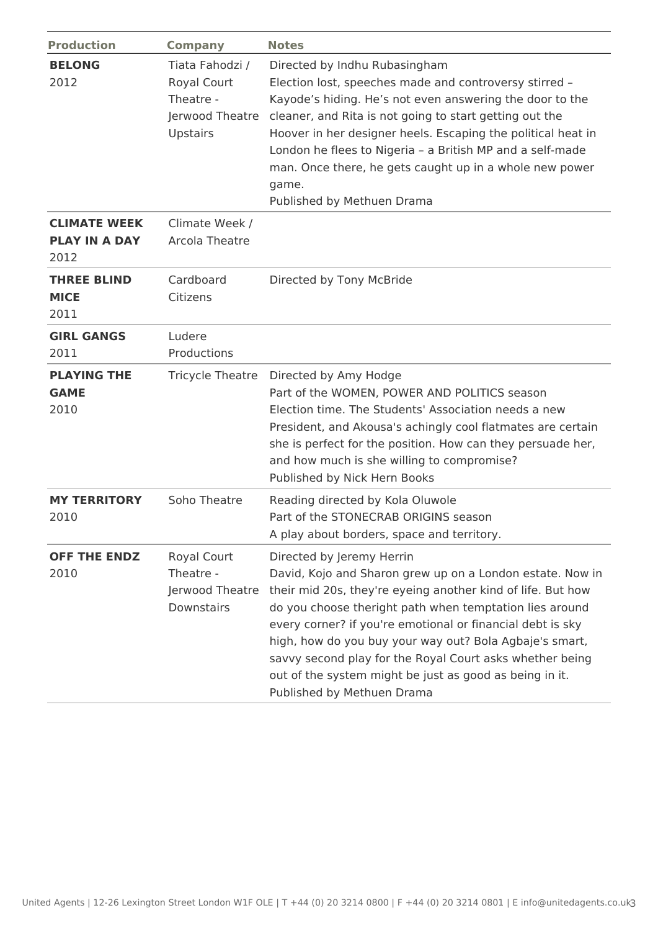| <b>Production</b>                                   | <b>Company</b>                                                                    | <b>Notes</b>                                                                                                                                                                                                                                                                                                                                                                                                                                                                                   |
|-----------------------------------------------------|-----------------------------------------------------------------------------------|------------------------------------------------------------------------------------------------------------------------------------------------------------------------------------------------------------------------------------------------------------------------------------------------------------------------------------------------------------------------------------------------------------------------------------------------------------------------------------------------|
| <b>BELONG</b><br>2012                               | Tiata Fahodzi /<br>Royal Court<br>Theatre -<br>Jerwood Theatre<br><b>Upstairs</b> | Directed by Indhu Rubasingham<br>Election lost, speeches made and controversy stirred -<br>Kayode's hiding. He's not even answering the door to the<br>cleaner, and Rita is not going to start getting out the<br>Hoover in her designer heels. Escaping the political heat in<br>London he flees to Nigeria - a British MP and a self-made<br>man. Once there, he gets caught up in a whole new power<br>game.<br>Published by Methuen Drama                                                  |
| <b>CLIMATE WEEK</b><br><b>PLAY IN A DAY</b><br>2012 | Climate Week /<br><b>Arcola Theatre</b>                                           |                                                                                                                                                                                                                                                                                                                                                                                                                                                                                                |
| <b>THREE BLIND</b><br><b>MICE</b><br>2011           | Cardboard<br>Citizens                                                             | Directed by Tony McBride                                                                                                                                                                                                                                                                                                                                                                                                                                                                       |
| <b>GIRL GANGS</b><br>2011                           | Ludere<br>Productions                                                             |                                                                                                                                                                                                                                                                                                                                                                                                                                                                                                |
| <b>PLAYING THE</b><br><b>GAME</b><br>2010           | <b>Tricycle Theatre</b>                                                           | Directed by Amy Hodge<br>Part of the WOMEN, POWER AND POLITICS season<br>Election time. The Students' Association needs a new<br>President, and Akousa's achingly cool flatmates are certain<br>she is perfect for the position. How can they persuade her,<br>and how much is she willing to compromise?<br>Published by Nick Hern Books                                                                                                                                                      |
| <b>MY TERRITORY</b><br>2010                         | Soho Theatre                                                                      | Reading directed by Kola Oluwole<br>Part of the STONECRAB ORIGINS season<br>A play about borders, space and territory.                                                                                                                                                                                                                                                                                                                                                                         |
| <b>OFF THE ENDZ</b><br>2010                         | Royal Court<br>Theatre -<br>Jerwood Theatre<br>Downstairs                         | Directed by Jeremy Herrin<br>David, Kojo and Sharon grew up on a London estate. Now in<br>their mid 20s, they're eyeing another kind of life. But how<br>do you choose theright path when temptation lies around<br>every corner? if you're emotional or financial debt is sky<br>high, how do you buy your way out? Bola Agbaje's smart,<br>savvy second play for the Royal Court asks whether being<br>out of the system might be just as good as being in it.<br>Published by Methuen Drama |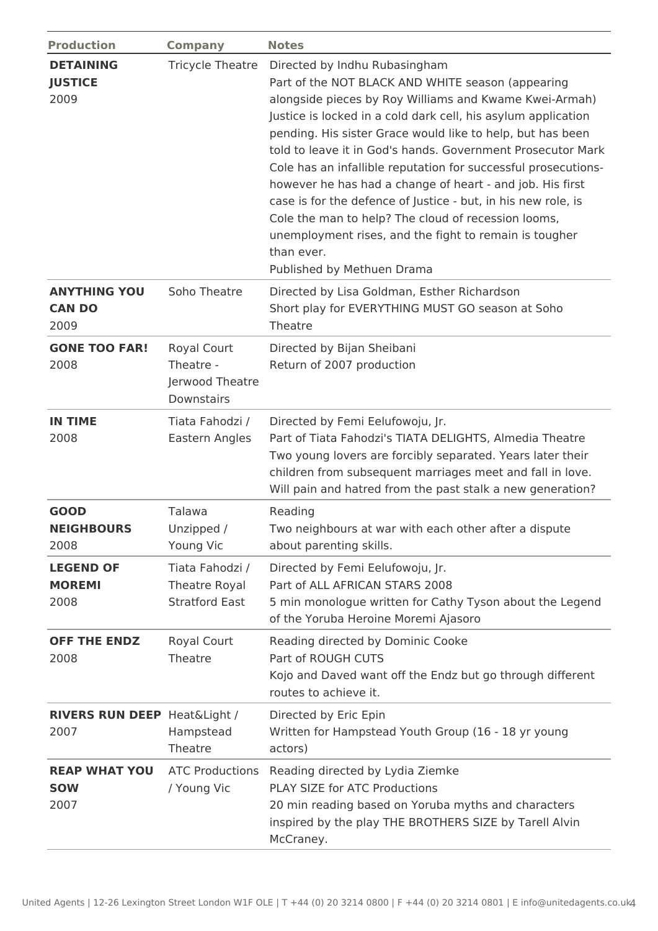| <b>Production</b>                               | <b>Company</b>                                                   | <b>Notes</b>                                                                                                                                                                                                                                                                                                                                                                                                                                                                                                                                                                                                                                                                                            |  |  |
|-------------------------------------------------|------------------------------------------------------------------|---------------------------------------------------------------------------------------------------------------------------------------------------------------------------------------------------------------------------------------------------------------------------------------------------------------------------------------------------------------------------------------------------------------------------------------------------------------------------------------------------------------------------------------------------------------------------------------------------------------------------------------------------------------------------------------------------------|--|--|
| <b>DETAINING</b><br><b>JUSTICE</b><br>2009      | <b>Tricycle Theatre</b>                                          | Directed by Indhu Rubasingham<br>Part of the NOT BLACK AND WHITE season (appearing<br>alongside pieces by Roy Williams and Kwame Kwei-Armah)<br>Justice is locked in a cold dark cell, his asylum application<br>pending. His sister Grace would like to help, but has been<br>told to leave it in God's hands. Government Prosecutor Mark<br>Cole has an infallible reputation for successful prosecutions-<br>however he has had a change of heart - and job. His first<br>case is for the defence of Justice - but, in his new role, is<br>Cole the man to help? The cloud of recession looms,<br>unemployment rises, and the fight to remain is tougher<br>than ever.<br>Published by Methuen Drama |  |  |
| <b>ANYTHING YOU</b><br><b>CAN DO</b><br>2009    | Soho Theatre                                                     | Directed by Lisa Goldman, Esther Richardson<br>Short play for EVERYTHING MUST GO season at Soho<br>Theatre                                                                                                                                                                                                                                                                                                                                                                                                                                                                                                                                                                                              |  |  |
| <b>GONE TOO FAR!</b><br>2008                    | <b>Royal Court</b><br>Theatre -<br>Jerwood Theatre<br>Downstairs | Directed by Bijan Sheibani<br>Return of 2007 production                                                                                                                                                                                                                                                                                                                                                                                                                                                                                                                                                                                                                                                 |  |  |
| <b>IN TIME</b><br>2008                          | Tiata Fahodzi /<br>Eastern Angles                                | Directed by Femi Eelufowoju, Jr.<br>Part of Tiata Fahodzi's TIATA DELIGHTS, Almedia Theatre<br>Two young lovers are forcibly separated. Years later their<br>children from subsequent marriages meet and fall in love.<br>Will pain and hatred from the past stalk a new generation?                                                                                                                                                                                                                                                                                                                                                                                                                    |  |  |
| <b>GOOD</b><br><b>NEIGHBOURS</b><br>2008        | Talawa<br>Unzipped /<br>Young Vic                                | Reading<br>Two neighbours at war with each other after a dispute<br>about parenting skills.                                                                                                                                                                                                                                                                                                                                                                                                                                                                                                                                                                                                             |  |  |
| <b>LEGEND OF</b><br><b>MOREMI</b><br>2008       | Tiata Fahodzi /<br>Theatre Royal<br><b>Stratford East</b>        | Directed by Femi Eelufowoju, Jr.<br>Part of ALL AFRICAN STARS 2008<br>5 min monologue written for Cathy Tyson about the Legend<br>of the Yoruba Heroine Moremi Ajasoro                                                                                                                                                                                                                                                                                                                                                                                                                                                                                                                                  |  |  |
| <b>OFF THE ENDZ</b><br>2008                     | <b>Royal Court</b><br>Theatre                                    | Reading directed by Dominic Cooke<br>Part of ROUGH CUTS<br>Kojo and Daved want off the Endz but go through different<br>routes to achieve it.                                                                                                                                                                                                                                                                                                                                                                                                                                                                                                                                                           |  |  |
| <b>RIVERS RUN DEEP Heat&amp;Light /</b><br>2007 | Hampstead<br>Theatre                                             | Directed by Eric Epin<br>Written for Hampstead Youth Group (16 - 18 yr young<br>actors)                                                                                                                                                                                                                                                                                                                                                                                                                                                                                                                                                                                                                 |  |  |
| <b>REAP WHAT YOU</b><br><b>SOW</b><br>2007      | <b>ATC Productions</b><br>/ Young Vic                            | Reading directed by Lydia Ziemke<br>PLAY SIZE for ATC Productions<br>20 min reading based on Yoruba myths and characters<br>inspired by the play THE BROTHERS SIZE by Tarell Alvin<br>McCraney.                                                                                                                                                                                                                                                                                                                                                                                                                                                                                                         |  |  |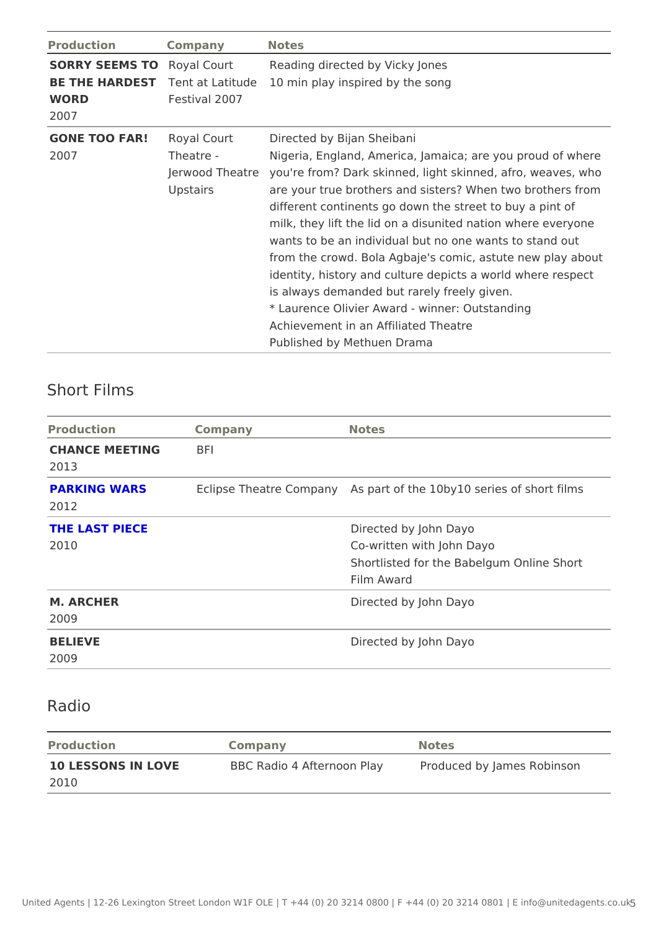| Production | Company       | Notes                                                           |  |
|------------|---------------|-----------------------------------------------------------------|--|
|            |               | SORRY SEEMS ROyal Court Reading directed by Vicky Jones         |  |
|            |               | BE THE HARDE STEnt at Latitudemin play inspired by the song     |  |
| WORD       | Festival 2007 |                                                                 |  |
| 2007       |               |                                                                 |  |
|            |               | GONE TOO FARRoyal Court Directed by Bijan Sheibani              |  |
| 2007       | Theatre -     | Nigeria, England, America, Jamaica; are you prou                |  |
|            |               | Jerwood Theaytore're from? Dark skinned, light skinned, afro, w |  |
|            | Upstairs      | are your true brothers and sisters? When two bro                |  |
|            |               | different continents go down the street to buy a                |  |
|            |               | milk, they lift the lid on a disunited nation where             |  |
|            |               | wants to be an individual but no one wants to sta               |  |
|            |               | from the crowd. Bola Agbaje's comic, astute new                 |  |
|            |               | identity, history and culture depicts a world wher              |  |
|            |               | is always demanded but rarely freely given.                     |  |
|            |               | * Laurence Olivier Award - winner: Outstanding                  |  |
|            |               | Achievement in an Affiliated Theatre                            |  |
|            |               | Published by Methuen Drama                                      |  |

#### Short Films

| Production                 | Company | Notes                                                                                                      |
|----------------------------|---------|------------------------------------------------------------------------------------------------------------|
| CHANCE MEETING BFI<br>2013 |         |                                                                                                            |
| PARKING WARS<br>2012       |         | Eclipse Theatre ComApsaport of the 10by10 series of short f                                                |
| THE LAST PIECE<br>2010     |         | Directed by John Dayo<br>Co-written with John Dayo<br>Shortlisted for the Babelgum Online Sh<br>Film Award |
| M. ARCHER<br>2009          |         | Directed by John Dayo                                                                                      |
| <b>BELIEVE</b><br>2009     |         | Directed by John Dayo                                                                                      |

### Radio

| Production<br>Company |  | Notes                                                                  |  |  |
|-----------------------|--|------------------------------------------------------------------------|--|--|
|                       |  | 10 LESSONS IN LOVE BBC Radio 4 Afternoon PPlacyduced by James Robinson |  |  |
| 2010                  |  |                                                                        |  |  |